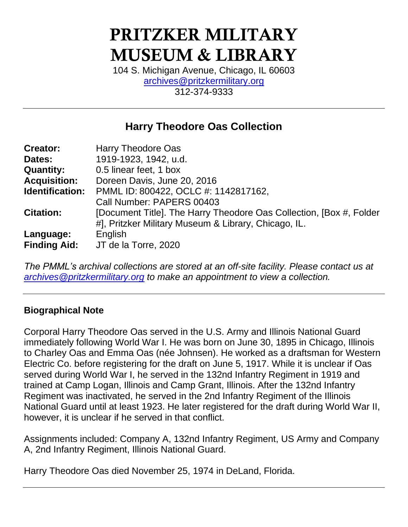# PRITZKER MILITARY MUSEUM & LIBRARY

104 S. Michigan Avenue, Chicago, IL 60603 [archives@pritzkermilitary.org](mailto:archives@pritzkermilitary.org) 312-374-9333

# **Harry Theodore Oas Collection**

| Harry Theodore Oas                                                  |
|---------------------------------------------------------------------|
| 1919-1923, 1942, u.d.                                               |
| 0.5 linear feet, 1 box                                              |
| Doreen Davis, June 20, 2016                                         |
| PMML ID: 800422, OCLC #: 1142817162,                                |
| Call Number: PAPERS 00403                                           |
| [Document Title]. The Harry Theodore Oas Collection, [Box #, Folder |
| #], Pritzker Military Museum & Library, Chicago, IL.                |
| English                                                             |
| JT de la Torre, 2020                                                |
|                                                                     |

*The PMML's archival collections are stored at an off-site facility. Please contact us at [archives@pritzkermilitary.org](mailto:archives@pritzkermilitary.org) to make an appointment to view a collection.*

# **Biographical Note**

Corporal Harry Theodore Oas served in the U.S. Army and Illinois National Guard immediately following World War I. He was born on June 30, 1895 in Chicago, Illinois to Charley Oas and Emma Oas (née Johnsen). He worked as a draftsman for Western Electric Co. before registering for the draft on June 5, 1917. While it is unclear if Oas served during World War I, he served in the 132nd Infantry Regiment in 1919 and trained at Camp Logan, Illinois and Camp Grant, Illinois. After the 132nd Infantry Regiment was inactivated, he served in the 2nd Infantry Regiment of the Illinois National Guard until at least 1923. He later registered for the draft during World War II, however, it is unclear if he served in that conflict.

Assignments included: Company A, 132nd Infantry Regiment, US Army and Company A, 2nd Infantry Regiment, Illinois National Guard.

Harry Theodore Oas died November 25, 1974 in DeLand, Florida.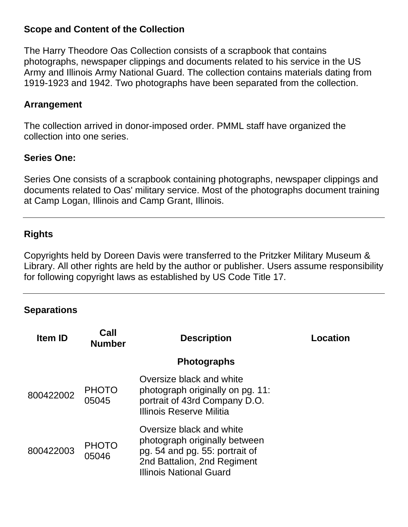### **Scope and Content of the Collection**

The Harry Theodore Oas Collection consists of a scrapbook that contains photographs, newspaper clippings and documents related to his service in the US Army and Illinois Army National Guard. The collection contains materials dating from 1919-1923 and 1942. Two photographs have been separated from the collection.

#### **Arrangement**

The collection arrived in donor-imposed order. PMML staff have organized the collection into one series.

#### **Series One:**

Series One consists of a scrapbook containing photographs, newspaper clippings and documents related to Oas' military service. Most of the photographs document training at Camp Logan, Illinois and Camp Grant, Illinois.

#### **Rights**

Copyrights held by Doreen Davis were transferred to the Pritzker Military Museum & Library. All other rights are held by the author or publisher. Users assume responsibility for following copyright laws as established by US Code Title 17.

#### **Separations**

| <b>Item ID</b> | Call<br><b>Number</b> | <b>Description</b>                                                                                                                                    | Location |
|----------------|-----------------------|-------------------------------------------------------------------------------------------------------------------------------------------------------|----------|
|                |                       | <b>Photographs</b>                                                                                                                                    |          |
| 800422002      | <b>PHOTO</b><br>05045 | Oversize black and white<br>photograph originally on pg. 11:<br>portrait of 43rd Company D.O.<br>Illinois Reserve Militia                             |          |
| 800422003      | <b>PHOTO</b><br>05046 | Oversize black and white<br>photograph originally between<br>pg. 54 and pg. 55: portrait of<br>2nd Battalion, 2nd Regiment<br>Illinois National Guard |          |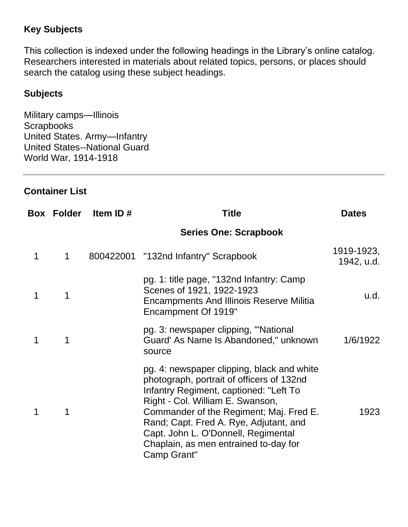# **Key Subjects**

This collection is indexed under the following headings in the Library's online catalog. Researchers interested in materials about related topics, persons, or places should search the catalog using these subject headings.

## **Subjects**

Military camps—Illinois **Scrapbooks** United States. Army—Infantry United States--National Guard World War, 1914-1918

## **Container List**

|   | <b>Box Folder</b> | Item ID# | Title                                                                                                                                                                                                                                                                                                                                                     | <b>Dates</b>             |
|---|-------------------|----------|-----------------------------------------------------------------------------------------------------------------------------------------------------------------------------------------------------------------------------------------------------------------------------------------------------------------------------------------------------------|--------------------------|
|   |                   |          | <b>Series One: Scrapbook</b>                                                                                                                                                                                                                                                                                                                              |                          |
| 1 | 1                 |          | 800422001 "132nd Infantry" Scrapbook                                                                                                                                                                                                                                                                                                                      | 1919-1923,<br>1942, u.d. |
| 1 | 1                 |          | pg. 1: title page, "132nd Infantry: Camp<br>Scenes of 1921, 1922-1923<br><b>Encampments And Illinois Reserve Militia</b><br>Encampment Of 1919"                                                                                                                                                                                                           | u.d.                     |
| 1 | 1                 |          | pg. 3: newspaper clipping, "National<br>Guard' As Name Is Abandoned," unknown<br>source                                                                                                                                                                                                                                                                   | 1/6/1922                 |
| 1 | 1                 |          | pg. 4: newspaper clipping, black and white<br>photograph, portrait of officers of 132nd<br>Infantry Regiment, captioned: "Left To<br>Right - Col. William E. Swanson,<br>Commander of the Regiment; Maj. Fred E.<br>Rand; Capt. Fred A. Rye, Adjutant, and<br>Capt. John L. O'Donnell, Regimental<br>Chaplain, as men entrained to-day for<br>Camp Grant" | 1923                     |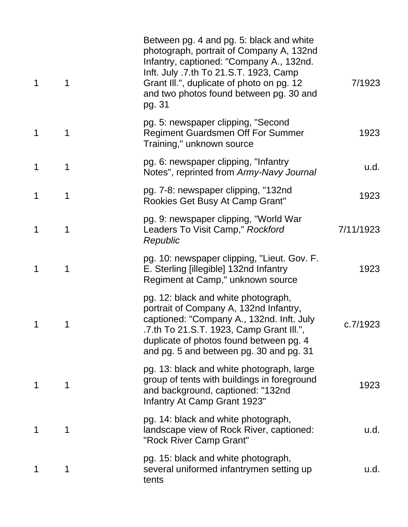| $\mathbf 1$ | 1 | Between pg. 4 and pg. 5: black and white<br>photograph, portrait of Company A, 132nd<br>Infantry, captioned: "Company A., 132nd.<br>Inft. July .7.th To 21.S.T. 1923, Camp<br>Grant III.", duplicate of photo on pg. 12<br>and two photos found between pg. 30 and<br>pg. 31 | 7/1923    |
|-------------|---|------------------------------------------------------------------------------------------------------------------------------------------------------------------------------------------------------------------------------------------------------------------------------|-----------|
| $\mathbf 1$ | 1 | pg. 5: newspaper clipping, "Second<br><b>Regiment Guardsmen Off For Summer</b><br>Training," unknown source                                                                                                                                                                  | 1923      |
| 1           | 1 | pg. 6: newspaper clipping, "Infantry<br>Notes", reprinted from Army-Navy Journal                                                                                                                                                                                             | u.d.      |
|             | 1 | pg. 7-8: newspaper clipping, "132nd<br>Rookies Get Busy At Camp Grant"                                                                                                                                                                                                       | 1923      |
| 1           | 1 | pg. 9: newspaper clipping, "World War<br>Leaders To Visit Camp," Rockford<br>Republic                                                                                                                                                                                        | 7/11/1923 |
| 1           | 1 | pg. 10: newspaper clipping, "Lieut. Gov. F.<br>E. Sterling [illegible] 132nd Infantry<br>Regiment at Camp," unknown source                                                                                                                                                   | 1923      |
|             |   | pg. 12: black and white photograph,<br>portrait of Company A, 132nd Infantry,<br>captioned: "Company A., 132nd. Inft. July<br>.7.th To 21.S.T. 1923, Camp Grant III.",<br>duplicate of photos found between pg. 4<br>and pg. 5 and between pg. 30 and pg. 31                 | c.7/1923  |
|             | 1 | pg. 13: black and white photograph, large<br>group of tents with buildings in foreground<br>and background, captioned: "132nd<br>Infantry At Camp Grant 1923"                                                                                                                | 1923      |
|             | 1 | pg. 14: black and white photograph,<br>landscape view of Rock River, captioned:<br>"Rock River Camp Grant"                                                                                                                                                                   | u.d.      |
|             | 1 | pg. 15: black and white photograph,<br>several uniformed infantrymen setting up<br>tents                                                                                                                                                                                     | u.d.      |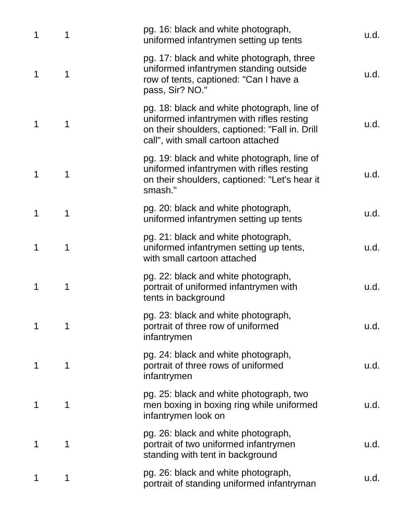| 1 | 1 | pg. 16: black and white photograph,<br>uniformed infantrymen setting up tents                                                                                                    | u.d. |
|---|---|----------------------------------------------------------------------------------------------------------------------------------------------------------------------------------|------|
| 1 | 1 | pg. 17: black and white photograph, three<br>uniformed infantrymen standing outside<br>row of tents, captioned: "Can I have a<br>pass, Sir? NO."                                 | u.d. |
| 1 | 1 | pg. 18: black and white photograph, line of<br>uniformed infantrymen with rifles resting<br>on their shoulders, captioned: "Fall in. Drill<br>call", with small cartoon attached | u.d. |
| 1 | 1 | pg. 19: black and white photograph, line of<br>uniformed infantrymen with rifles resting<br>on their shoulders, captioned: "Let's hear it<br>smash."                             | u.d. |
| 1 | 1 | pg. 20: black and white photograph,<br>uniformed infantrymen setting up tents                                                                                                    | u.d. |
| 1 | 1 | pg. 21: black and white photograph,<br>uniformed infantrymen setting up tents,<br>with small cartoon attached                                                                    | u.d. |
| 1 | 1 | pg. 22: black and white photograph,<br>portrait of uniformed infantrymen with<br>tents in background                                                                             | u.d. |
|   | 1 | pg. 23: black and white photograph,<br>portrait of three row of uniformed<br>infantrymen                                                                                         | u.d. |
| 1 | 1 | pg. 24: black and white photograph,<br>portrait of three rows of uniformed<br>infantrymen                                                                                        | u.d. |
| 1 | 1 | pg. 25: black and white photograph, two<br>men boxing in boxing ring while uniformed<br>infantrymen look on                                                                      | u.d. |
| 1 | 1 | pg. 26: black and white photograph,<br>portrait of two uniformed infantrymen<br>standing with tent in background                                                                 | u.d. |
| 1 | 1 | pg. 26: black and white photograph,<br>portrait of standing uniformed infantryman                                                                                                | u.d. |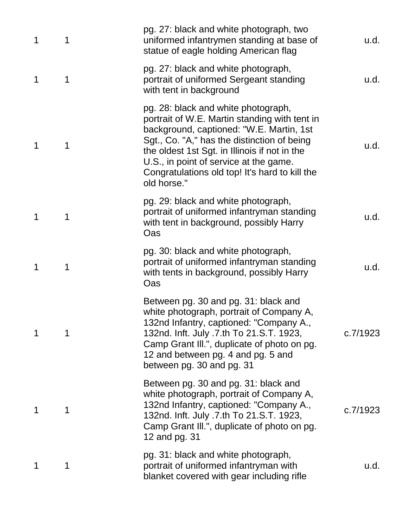| 1 | 1 | pg. 27: black and white photograph, two<br>uniformed infantrymen standing at base of<br>statue of eagle holding American flag                                                                                                                                                                                                               | u.d.     |
|---|---|---------------------------------------------------------------------------------------------------------------------------------------------------------------------------------------------------------------------------------------------------------------------------------------------------------------------------------------------|----------|
| 1 | 1 | pg. 27: black and white photograph,<br>portrait of uniformed Sergeant standing<br>with tent in background                                                                                                                                                                                                                                   | u.d.     |
| 1 | 1 | pg. 28: black and white photograph,<br>portrait of W.E. Martin standing with tent in<br>background, captioned: "W.E. Martin, 1st<br>Sgt., Co. "A," has the distinction of being<br>the oldest 1st Sgt. in Illinois if not in the<br>U.S., in point of service at the game.<br>Congratulations old top! It's hard to kill the<br>old horse." | u.d.     |
| 1 | 1 | pg. 29: black and white photograph,<br>portrait of uniformed infantryman standing<br>with tent in background, possibly Harry<br>Oas                                                                                                                                                                                                         | u.d.     |
| 1 | 1 | pg. 30: black and white photograph,<br>portrait of uniformed infantryman standing<br>with tents in background, possibly Harry<br>Oas                                                                                                                                                                                                        | u.d.     |
| 1 |   | Between pg. 30 and pg. 31: black and<br>white photograph, portrait of Company A,<br>132nd Infantry, captioned: "Company A.,<br>132nd. Inft. July .7.th To 21.S.T. 1923,<br>Camp Grant III.", duplicate of photo on pg.<br>12 and between pg. 4 and pg. 5 and<br>between pg. 30 and pg. 31                                                   | c.7/1923 |
| 1 | 1 | Between pg. 30 and pg. 31: black and<br>white photograph, portrait of Company A,<br>132nd Infantry, captioned: "Company A.,<br>132nd. Inft. July .7.th To 21.S.T. 1923,<br>Camp Grant III.", duplicate of photo on pg.<br>12 and pg. 31                                                                                                     | c.7/1923 |
| 1 | 1 | pg. 31: black and white photograph,<br>portrait of uniformed infantryman with<br>blanket covered with gear including rifle                                                                                                                                                                                                                  | u.d.     |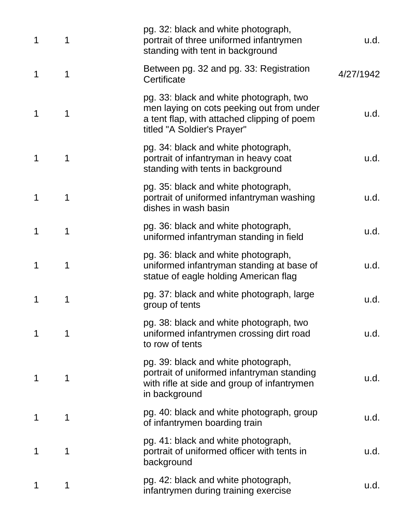| 1 | 1 | pg. 32: black and white photograph,<br>portrait of three uniformed infantrymen<br>standing with tent in background                                                 | u.d.      |
|---|---|--------------------------------------------------------------------------------------------------------------------------------------------------------------------|-----------|
| 1 | 1 | Between pg. 32 and pg. 33: Registration<br>Certificate                                                                                                             | 4/27/1942 |
| 1 | 1 | pg. 33: black and white photograph, two<br>men laying on cots peeking out from under<br>a tent flap, with attached clipping of poem<br>titled "A Soldier's Prayer" | u.d.      |
| 1 | 1 | pg. 34: black and white photograph,<br>portrait of infantryman in heavy coat<br>standing with tents in background                                                  | u.d.      |
| 1 | 1 | pg. 35: black and white photograph,<br>portrait of uniformed infantryman washing<br>dishes in wash basin                                                           | u.d.      |
| 1 | 1 | pg. 36: black and white photograph,<br>uniformed infantryman standing in field                                                                                     | u.d.      |
| 1 | 1 | pg. 36: black and white photograph,<br>uniformed infantryman standing at base of<br>statue of eagle holding American flag                                          | u.d.      |
| 1 | 1 | pg. 37: black and white photograph, large<br>group of tents                                                                                                        | u.d.      |
| 1 | 1 | pg. 38: black and white photograph, two<br>uniformed infantrymen crossing dirt road<br>to row of tents                                                             | u.d.      |
| 1 | 1 | pg. 39: black and white photograph,<br>portrait of uniformed infantryman standing<br>with rifle at side and group of infantrymen<br>in background                  | u.d.      |
| 1 | 1 | pg. 40: black and white photograph, group<br>of infantrymen boarding train                                                                                         | u.d.      |
| 1 | 1 | pg. 41: black and white photograph,<br>portrait of uniformed officer with tents in<br>background                                                                   | u.d.      |
| 1 | 1 | pg. 42: black and white photograph,<br>infantrymen during training exercise                                                                                        | u.d.      |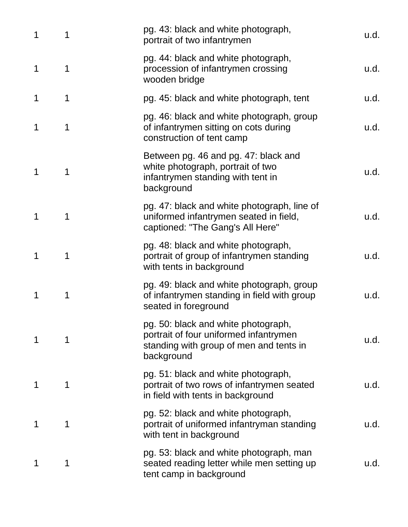| 1 | 1 | pg. 43: black and white photograph,<br>portrait of two infantrymen                                                                     | u.d. |
|---|---|----------------------------------------------------------------------------------------------------------------------------------------|------|
| 1 | 1 | pg. 44: black and white photograph,<br>procession of infantrymen crossing<br>wooden bridge                                             | u.d. |
| 1 | 1 | pg. 45: black and white photograph, tent                                                                                               | u.d. |
| 1 | 1 | pg. 46: black and white photograph, group<br>of infantrymen sitting on cots during<br>construction of tent camp                        | u.d. |
| 1 | 1 | Between pg. 46 and pg. 47: black and<br>white photograph, portrait of two<br>infantrymen standing with tent in<br>background           | u.d. |
| 1 | 1 | pg. 47: black and white photograph, line of<br>uniformed infantrymen seated in field,<br>captioned: "The Gang's All Here"              | u.d. |
| 1 | 1 | pg. 48: black and white photograph,<br>portrait of group of infantrymen standing<br>with tents in background                           | u.d. |
| 1 | 1 | pg. 49: black and white photograph, group<br>of infantrymen standing in field with group<br>seated in foreground                       | u.d. |
| 1 | 1 | pg. 50: black and white photograph,<br>portrait of four uniformed infantrymen<br>standing with group of men and tents in<br>background | u.d. |
| 1 | 1 | pg. 51: black and white photograph,<br>portrait of two rows of infantrymen seated<br>in field with tents in background                 | u.d. |
| 1 | 1 | pg. 52: black and white photograph,<br>portrait of uniformed infantryman standing<br>with tent in background                           | u.d. |
| 1 | 1 | pg. 53: black and white photograph, man<br>seated reading letter while men setting up<br>tent camp in background                       | u.d. |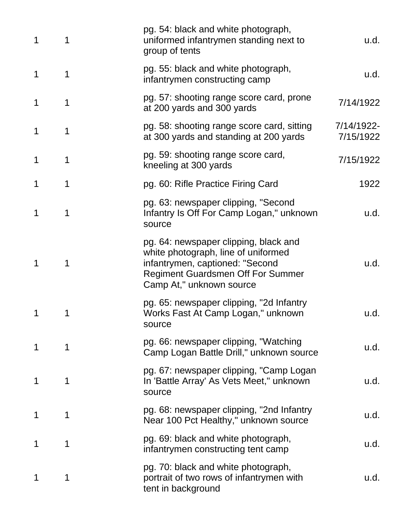| 1 | 1 | pg. 54: black and white photograph,<br>uniformed infantrymen standing next to<br>group of tents                                                                                         | u.d.                    |
|---|---|-----------------------------------------------------------------------------------------------------------------------------------------------------------------------------------------|-------------------------|
| 1 | 1 | pg. 55: black and white photograph,<br>infantrymen constructing camp                                                                                                                    | u.d.                    |
| 1 | 1 | pg. 57: shooting range score card, prone<br>at 200 yards and 300 yards                                                                                                                  | 7/14/1922               |
| 1 | 1 | pg. 58: shooting range score card, sitting<br>at 300 yards and standing at 200 yards                                                                                                    | 7/14/1922-<br>7/15/1922 |
| 1 | 1 | pg. 59: shooting range score card,<br>kneeling at 300 yards                                                                                                                             | 7/15/1922               |
| 1 | 1 | pg. 60: Rifle Practice Firing Card                                                                                                                                                      | 1922                    |
| 1 | 1 | pg. 63: newspaper clipping, "Second<br>Infantry Is Off For Camp Logan," unknown<br>source                                                                                               | u.d.                    |
| 1 | 1 | pg. 64: newspaper clipping, black and<br>white photograph, line of uniformed<br>infantrymen, captioned: "Second<br><b>Regiment Guardsmen Off For Summer</b><br>Camp At," unknown source | u.d.                    |
| 1 | 1 | pg. 65: newspaper clipping, "2d Infantry<br>Works Fast At Camp Logan," unknown<br>source                                                                                                | u.d.                    |
| 1 | 1 | pg. 66: newspaper clipping, "Watching<br>Camp Logan Battle Drill," unknown source                                                                                                       | u.d.                    |
| 1 | 1 | pg. 67: newspaper clipping, "Camp Logan<br>In 'Battle Array' As Vets Meet," unknown<br>source                                                                                           | u.d.                    |
| 1 | 1 | pg. 68: newspaper clipping, "2nd Infantry<br>Near 100 Pct Healthy," unknown source                                                                                                      | u.d.                    |
| 1 | 1 | pg. 69: black and white photograph,<br>infantrymen constructing tent camp                                                                                                               | u.d.                    |
| 1 | 1 | pg. 70: black and white photograph,<br>portrait of two rows of infantrymen with<br>tent in background                                                                                   | u.d.                    |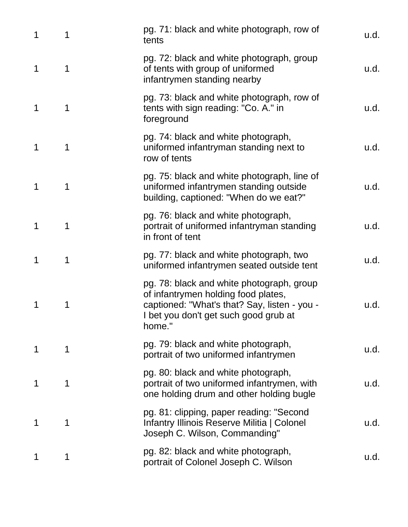| 1 | 1 | pg. 71: black and white photograph, row of<br>tents                                                                                                                                 | u.d. |
|---|---|-------------------------------------------------------------------------------------------------------------------------------------------------------------------------------------|------|
| 1 | 1 | pg. 72: black and white photograph, group<br>of tents with group of uniformed<br>infantrymen standing nearby                                                                        | u.d. |
| 1 | 1 | pg. 73: black and white photograph, row of<br>tents with sign reading: "Co. A." in<br>foreground                                                                                    | u.d. |
| 1 | 1 | pg. 74: black and white photograph,<br>uniformed infantryman standing next to<br>row of tents                                                                                       | u.d. |
| 1 | 1 | pg. 75: black and white photograph, line of<br>uniformed infantrymen standing outside<br>building, captioned: "When do we eat?"                                                     | u.d. |
| 1 | 1 | pg. 76: black and white photograph,<br>portrait of uniformed infantryman standing<br>in front of tent                                                                               | u.d. |
| 1 | 1 | pg. 77: black and white photograph, two<br>uniformed infantrymen seated outside tent                                                                                                | u.d. |
| 1 | 1 | pg. 78: black and white photograph, group<br>of infantrymen holding food plates,<br>captioned: "What's that? Say, listen - you -<br>I bet you don't get such good grub at<br>home." | u.d. |
| 1 | 1 | pg. 79: black and white photograph,<br>portrait of two uniformed infantrymen                                                                                                        | u.d. |
| 1 | 1 | pg. 80: black and white photograph,<br>portrait of two uniformed infantrymen, with<br>one holding drum and other holding bugle                                                      | u.d. |
| 1 | 1 | pg. 81: clipping, paper reading: "Second<br>Infantry Illinois Reserve Militia   Colonel<br>Joseph C. Wilson, Commanding"                                                            | u.d. |
| 1 | 1 | pg. 82: black and white photograph,<br>portrait of Colonel Joseph C. Wilson                                                                                                         | u.d. |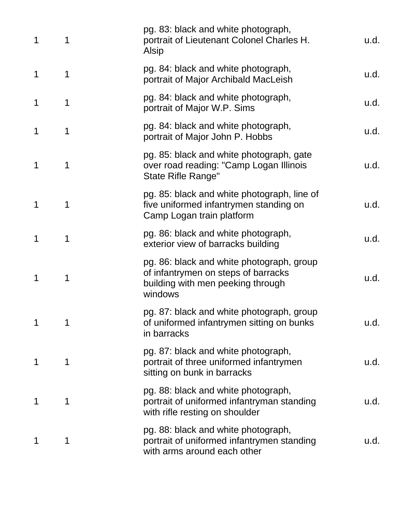| 1 | 1 | pg. 83: black and white photograph,<br>portrait of Lieutenant Colonel Charles H.<br>Alsip                                        | u.d. |
|---|---|----------------------------------------------------------------------------------------------------------------------------------|------|
| 1 | 1 | pg. 84: black and white photograph,<br>portrait of Major Archibald MacLeish                                                      | u.d. |
| 1 | 1 | pg. 84: black and white photograph,<br>portrait of Major W.P. Sims                                                               | u.d. |
| 1 | 1 | pg. 84: black and white photograph,<br>portrait of Major John P. Hobbs                                                           | u.d. |
| 1 | 1 | pg. 85: black and white photograph, gate<br>over road reading: "Camp Logan Illinois<br><b>State Rifle Range"</b>                 | u.d. |
| 1 | 1 | pg. 85: black and white photograph, line of<br>five uniformed infantrymen standing on<br>Camp Logan train platform               | u.d. |
| 1 | 1 | pg. 86: black and white photograph,<br>exterior view of barracks building                                                        | u.d. |
| 1 | 1 | pg. 86: black and white photograph, group<br>of infantrymen on steps of barracks<br>building with men peeking through<br>windows | u.d. |
| 1 | 1 | pg. 87: black and white photograph, group<br>of uniformed infantrymen sitting on bunks<br>in barracks                            | u.d. |
| 1 | 1 | pg. 87: black and white photograph,<br>portrait of three uniformed infantrymen<br>sitting on bunk in barracks                    | u.d. |
|   | 1 | pg. 88: black and white photograph,<br>portrait of uniformed infantryman standing<br>with rifle resting on shoulder              | u.d. |
| 1 | 1 | pg. 88: black and white photograph,<br>portrait of uniformed infantrymen standing<br>with arms around each other                 | u.d. |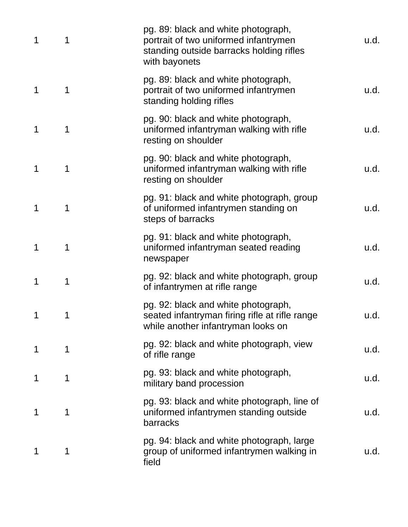| 1 | 1 | pg. 89: black and white photograph,<br>portrait of two uniformed infantrymen<br>standing outside barracks holding rifles<br>with bayonets | u.d. |
|---|---|-------------------------------------------------------------------------------------------------------------------------------------------|------|
| 1 | 1 | pg. 89: black and white photograph,<br>portrait of two uniformed infantrymen<br>standing holding rifles                                   | u.d. |
| 1 | 1 | pg. 90: black and white photograph,<br>uniformed infantryman walking with rifle<br>resting on shoulder                                    | u.d. |
| 1 | 1 | pg. 90: black and white photograph,<br>uniformed infantryman walking with rifle<br>resting on shoulder                                    | u.d. |
| 1 | 1 | pg. 91: black and white photograph, group<br>of uniformed infantrymen standing on<br>steps of barracks                                    | u.d. |
| 1 | 1 | pg. 91: black and white photograph,<br>uniformed infantryman seated reading<br>newspaper                                                  | u.d. |
| 1 | 1 | pg. 92: black and white photograph, group<br>of infantrymen at rifle range                                                                | u.d. |
| 1 | 1 | pg. 92: black and white photograph,<br>seated infantryman firing rifle at rifle range<br>while another infantryman looks on               | u.d. |
| 1 | 1 | pg. 92: black and white photograph, view<br>of rifle range                                                                                | u.d. |
| 1 | 1 | pg. 93: black and white photograph,<br>military band procession                                                                           | u.d. |
| 1 | 1 | pg. 93: black and white photograph, line of<br>uniformed infantrymen standing outside<br>barracks                                         | u.d. |
| 1 | 1 | pg. 94: black and white photograph, large<br>group of uniformed infantrymen walking in<br>field                                           | u.d. |